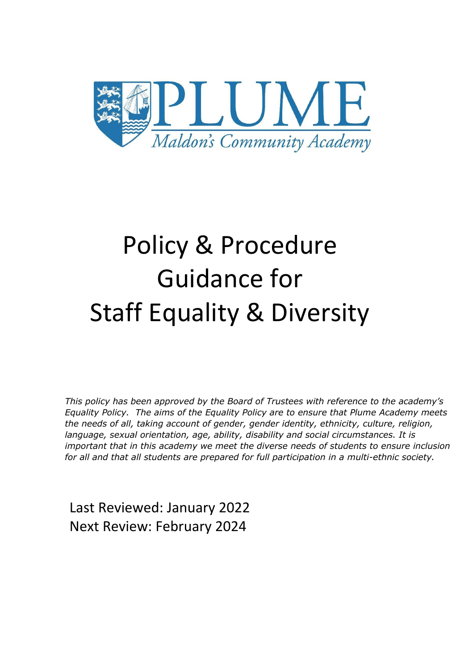

# Policy & Procedure Guidance for Staff Equality & Diversity

*This policy has been approved by the Board of Trustees with reference to the academy's Equality Policy. The aims of the Equality Policy are to ensure that Plume Academy meets the needs of all, taking account of gender, gender identity, ethnicity, culture, religion, language, sexual orientation, age, ability, disability and social circumstances. It is important that in this academy we meet the diverse needs of students to ensure inclusion for all and that all students are prepared for full participation in a multi-ethnic society.*

Last Reviewed: January 2022 Next Review: February 2024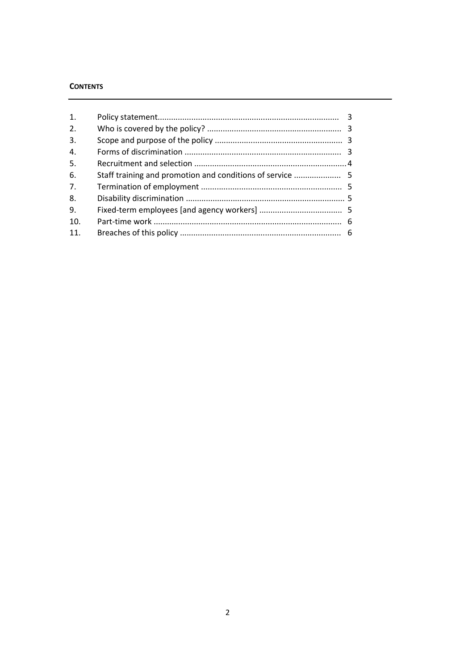# **CONTENTS**

| 1.  |                                                           |  |
|-----|-----------------------------------------------------------|--|
| 2.  |                                                           |  |
| 3.  |                                                           |  |
| 4.  |                                                           |  |
| 5.  |                                                           |  |
| 6.  | Staff training and promotion and conditions of service  5 |  |
| 7.  |                                                           |  |
| 8.  |                                                           |  |
| 9.  |                                                           |  |
| 10. |                                                           |  |
| 11. |                                                           |  |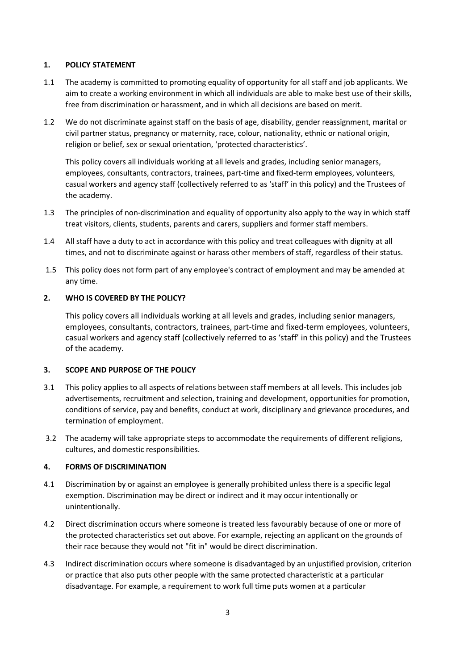## **1. POLICY STATEMENT**

- 1.1 The academy is committed to promoting equality of opportunity for all staff and job applicants. We aim to create a working environment in which all individuals are able to make best use of their skills, free from discrimination or harassment, and in which all decisions are based on merit.
- 1.2 We do not discriminate against staff on the basis of age, disability, gender reassignment, marital or civil partner status, pregnancy or maternity, race, colour, nationality, ethnic or national origin, religion or belief, sex or sexual orientation, 'protected characteristics'.

This policy covers all individuals working at all levels and grades, including senior managers, employees, consultants, contractors, trainees, part-time and fixed-term employees, volunteers, casual workers and agency staff (collectively referred to as 'staff' in this policy) and the Trustees of the academy.

- 1.3 The principles of non-discrimination and equality of opportunity also apply to the way in which staff treat visitors, clients, students, parents and carers, suppliers and former staff members.
- 1.4 All staff have a duty to act in accordance with this policy and treat colleagues with dignity at all times, and not to discriminate against or harass other members of staff, regardless of their status.
- 1.5 This policy does not form part of any employee's contract of employment and may be amended at any time.

# **2. WHO IS COVERED BY THE POLICY?**

This policy covers all individuals working at all levels and grades, including senior managers, employees, consultants, contractors, trainees, part-time and fixed-term employees, volunteers, casual workers and agency staff (collectively referred to as 'staff' in this policy) and the Trustees of the academy.

## **3. SCOPE AND PURPOSE OF THE POLICY**

- 3.1 This policy applies to all aspects of relations between staff members at all levels. This includes job advertisements, recruitment and selection, training and development, opportunities for promotion, conditions of service, pay and benefits, conduct at work, disciplinary and grievance procedures, and termination of employment.
- 3.2 The academy will take appropriate steps to accommodate the requirements of different religions, cultures, and domestic responsibilities.

## **4. FORMS OF DISCRIMINATION**

- 4.1 Discrimination by or against an employee is generally prohibited unless there is a specific legal exemption. Discrimination may be direct or indirect and it may occur intentionally or unintentionally.
- 4.2 Direct discrimination occurs where someone is treated less favourably because of one or more of the protected characteristics set out above. For example, rejecting an applicant on the grounds of their race because they would not "fit in" would be direct discrimination.
- 4.3 Indirect discrimination occurs where someone is disadvantaged by an unjustified provision, criterion or practice that also puts other people with the same protected characteristic at a particular disadvantage. For example, a requirement to work full time puts women at a particular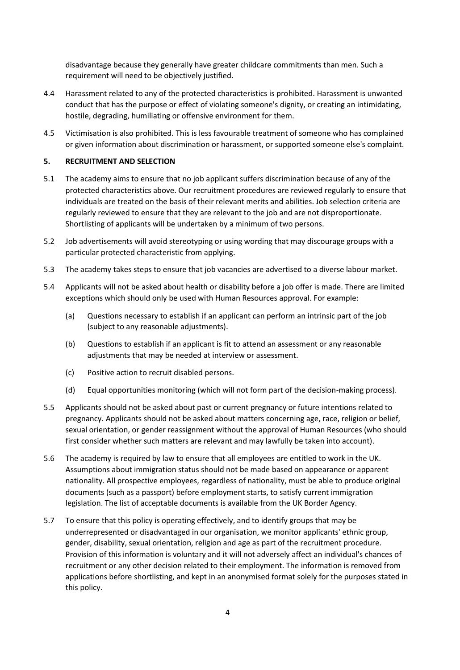disadvantage because they generally have greater childcare commitments than men. Such a requirement will need to be objectively justified.

- 4.4 Harassment related to any of the protected characteristics is prohibited. Harassment is unwanted conduct that has the purpose or effect of violating someone's dignity, or creating an intimidating, hostile, degrading, humiliating or offensive environment for them.
- 4.5 Victimisation is also prohibited. This is less favourable treatment of someone who has complained or given information about discrimination or harassment, or supported someone else's complaint.

# **5. RECRUITMENT AND SELECTION**

- 5.1 The academy aims to ensure that no job applicant suffers discrimination because of any of the protected characteristics above. Our recruitment procedures are reviewed regularly to ensure that individuals are treated on the basis of their relevant merits and abilities. Job selection criteria are regularly reviewed to ensure that they are relevant to the job and are not disproportionate. Shortlisting of applicants will be undertaken by a minimum of two persons.
- 5.2 Job advertisements will avoid stereotyping or using wording that may discourage groups with a particular protected characteristic from applying.
- 5.3 The academy takes steps to ensure that job vacancies are advertised to a diverse labour market.
- 5.4 Applicants will not be asked about health or disability before a job offer is made. There are limited exceptions which should only be used with Human Resources approval. For example:
	- (a) Questions necessary to establish if an applicant can perform an intrinsic part of the job (subject to any reasonable adjustments).
	- (b) Questions to establish if an applicant is fit to attend an assessment or any reasonable adjustments that may be needed at interview or assessment.
	- (c) Positive action to recruit disabled persons.
	- (d) Equal opportunities monitoring (which will not form part of the decision-making process).
- 5.5 Applicants should not be asked about past or current pregnancy or future intentions related to pregnancy. Applicants should not be asked about matters concerning age, race, religion or belief, sexual orientation, or gender reassignment without the approval of Human Resources (who should first consider whether such matters are relevant and may lawfully be taken into account).
- 5.6 The academy is required by law to ensure that all employees are entitled to work in the UK. Assumptions about immigration status should not be made based on appearance or apparent nationality. All prospective employees, regardless of nationality, must be able to produce original documents (such as a passport) before employment starts, to satisfy current immigration legislation. The list of acceptable documents is available from the UK Border Agency.
- 5.7 To ensure that this policy is operating effectively, and to identify groups that may be underrepresented or disadvantaged in our organisation, we monitor applicants' ethnic group, gender, disability, sexual orientation, religion and age as part of the recruitment procedure. Provision of this information is voluntary and it will not adversely affect an individual's chances of recruitment or any other decision related to their employment. The information is removed from applications before shortlisting, and kept in an anonymised format solely for the purposes stated in this policy.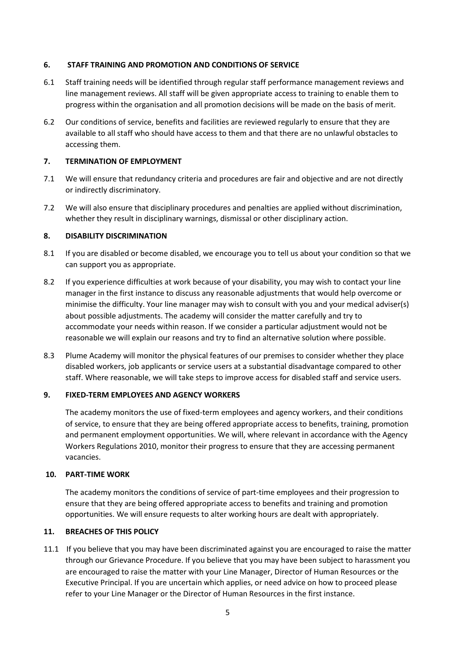## **6. STAFF TRAINING AND PROMOTION AND CONDITIONS OF SERVICE**

- 6.1 Staff training needs will be identified through regular staff performance management reviews and line management reviews. All staff will be given appropriate access to training to enable them to progress within the organisation and all promotion decisions will be made on the basis of merit.
- 6.2 Our conditions of service, benefits and facilities are reviewed regularly to ensure that they are available to all staff who should have access to them and that there are no unlawful obstacles to accessing them.

### **7. TERMINATION OF EMPLOYMENT**

- 7.1 We will ensure that redundancy criteria and procedures are fair and objective and are not directly or indirectly discriminatory.
- 7.2 We will also ensure that disciplinary procedures and penalties are applied without discrimination, whether they result in disciplinary warnings, dismissal or other disciplinary action.

#### **8. DISABILITY DISCRIMINATION**

- 8.1 If you are disabled or become disabled, we encourage you to tell us about your condition so that we can support you as appropriate.
- 8.2 If you experience difficulties at work because of your disability, you may wish to contact your line manager in the first instance to discuss any reasonable adjustments that would help overcome or minimise the difficulty. Your line manager may wish to consult with you and your medical adviser(s) about possible adjustments. The academy will consider the matter carefully and try to accommodate your needs within reason. If we consider a particular adjustment would not be reasonable we will explain our reasons and try to find an alternative solution where possible.
- 8.3 Plume Academy will monitor the physical features of our premises to consider whether they place disabled workers, job applicants or service users at a substantial disadvantage compared to other staff. Where reasonable, we will take steps to improve access for disabled staff and service users.

#### **9. FIXED-TERM EMPLOYEES AND AGENCY WORKERS**

The academy monitors the use of fixed-term employees and agency workers, and their conditions of service, to ensure that they are being offered appropriate access to benefits, training, promotion and permanent employment opportunities. We will, where relevant in accordance with the Agency Workers Regulations 2010, monitor their progress to ensure that they are accessing permanent vacancies.

### **10. PART-TIME WORK**

The academy monitors the conditions of service of part-time employees and their progression to ensure that they are being offered appropriate access to benefits and training and promotion opportunities. We will ensure requests to alter working hours are dealt with appropriately.

### **11. BREACHES OF THIS POLICY**

11.1 If you believe that you may have been discriminated against you are encouraged to raise the matter through our Grievance Procedure. If you believe that you may have been subject to harassment you are encouraged to raise the matter with your Line Manager, Director of Human Resources or the Executive Principal. If you are uncertain which applies, or need advice on how to proceed please refer to your Line Manager or the Director of Human Resources in the first instance.